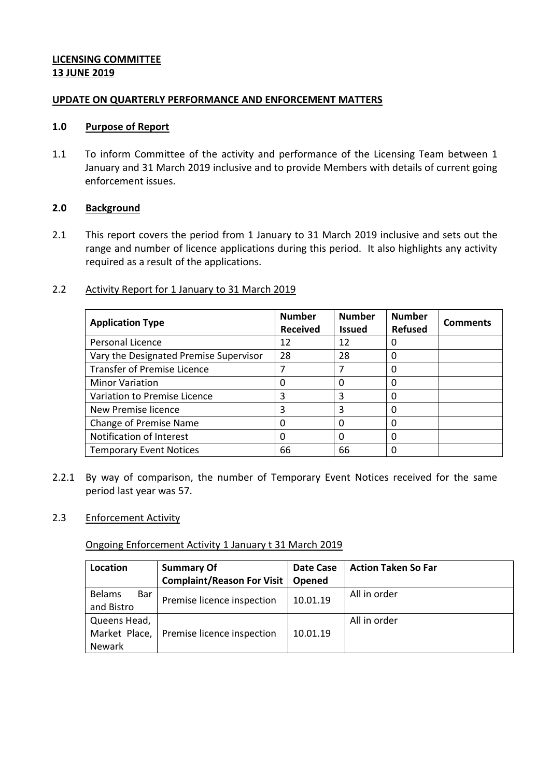## **LICENSING COMMITTEE 13 JUNE 2019**

## **UPDATE ON QUARTERLY PERFORMANCE AND ENFORCEMENT MATTERS**

#### **1.0 Purpose of Report**

1.1 To inform Committee of the activity and performance of the Licensing Team between 1 January and 31 March 2019 inclusive and to provide Members with details of current going enforcement issues.

## **2.0 Background**

2.1 This report covers the period from 1 January to 31 March 2019 inclusive and sets out the range and number of licence applications during this period. It also highlights any activity required as a result of the applications.

## 2.2 Activity Report for 1 January to 31 March 2019

| <b>Application Type</b>                | <b>Number</b><br><b>Received</b> | <b>Number</b><br><b>Issued</b> | <b>Number</b><br><b>Refused</b> | <b>Comments</b> |
|----------------------------------------|----------------------------------|--------------------------------|---------------------------------|-----------------|
| <b>Personal Licence</b>                | 12                               | 12                             | 0                               |                 |
| Vary the Designated Premise Supervisor | 28                               | 28                             | 0                               |                 |
| <b>Transfer of Premise Licence</b>     |                                  |                                | 0                               |                 |
| <b>Minor Variation</b>                 | 0                                | 0                              | 0                               |                 |
| Variation to Premise Licence           | 3                                | 3                              | 0                               |                 |
| New Premise licence                    | 3                                | 3                              | $\Omega$                        |                 |
| <b>Change of Premise Name</b>          | 0                                | 0                              | 0                               |                 |
| Notification of Interest               | 0                                | 0                              | 0                               |                 |
| <b>Temporary Event Notices</b>         | 66                               | 66                             | 0                               |                 |

2.2.1 By way of comparison, the number of Temporary Event Notices received for the same period last year was 57.

#### 2.3 Enforcement Activity

## Ongoing Enforcement Activity 1 January t 31 March 2019

| Location                           | <b>Summary Of</b>          | Date Case | <b>Action Taken So Far</b> |
|------------------------------------|----------------------------|-----------|----------------------------|
|                                    | Complaint/Reason For Visit | Opened    |                            |
| <b>Belams</b><br>Bar<br>and Bistro | Premise licence inspection | 10.01.19  | All in order               |
|                                    |                            |           |                            |
| Queens Head,                       |                            |           | All in order               |
| Market Place,                      | Premise licence inspection | 10.01.19  |                            |
| Newark                             |                            |           |                            |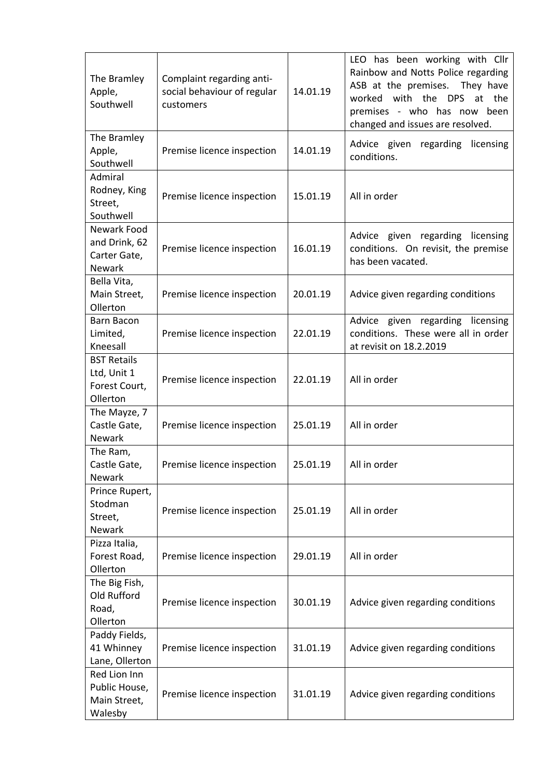| The Bramley<br>Apple,<br>Southwell                             | Complaint regarding anti-<br>social behaviour of regular<br>customers | 14.01.19 | LEO has been working with Cllr<br>Rainbow and Notts Police regarding<br>ASB at the premises.<br>They have<br>worked<br>with the DPS<br>the<br>at<br>premises - who has now been<br>changed and issues are resolved. |
|----------------------------------------------------------------|-----------------------------------------------------------------------|----------|---------------------------------------------------------------------------------------------------------------------------------------------------------------------------------------------------------------------|
| The Bramley<br>Apple,<br>Southwell                             | Premise licence inspection                                            | 14.01.19 | Advice given regarding licensing<br>conditions.                                                                                                                                                                     |
| Admiral<br>Rodney, King<br>Street,<br>Southwell                | Premise licence inspection                                            | 15.01.19 | All in order                                                                                                                                                                                                        |
| Newark Food<br>and Drink, 62<br>Carter Gate,<br><b>Newark</b>  | Premise licence inspection                                            | 16.01.19 | Advice given regarding licensing<br>conditions. On revisit, the premise<br>has been vacated.                                                                                                                        |
| Bella Vita,<br>Main Street,<br>Ollerton                        | Premise licence inspection                                            | 20.01.19 | Advice given regarding conditions                                                                                                                                                                                   |
| Barn Bacon<br>Limited,<br>Kneesall                             | Premise licence inspection                                            | 22.01.19 | Advice given regarding licensing<br>conditions. These were all in order<br>at revisit on 18.2.2019                                                                                                                  |
| <b>BST Retails</b><br>Ltd, Unit 1<br>Forest Court,<br>Ollerton | Premise licence inspection                                            | 22.01.19 | All in order                                                                                                                                                                                                        |
| The Mayze, 7<br>Castle Gate,<br>Newark                         | Premise licence inspection                                            | 25.01.19 | All in order                                                                                                                                                                                                        |
| The Ram,<br>Castle Gate,<br><b>Newark</b>                      | Premise licence inspection                                            | 25.01.19 | All in order                                                                                                                                                                                                        |
| Prince Rupert,<br>Stodman<br>Street,<br><b>Newark</b>          | Premise licence inspection                                            | 25.01.19 | All in order                                                                                                                                                                                                        |
| Pizza Italia,<br>Forest Road,<br>Ollerton                      | Premise licence inspection                                            | 29.01.19 | All in order                                                                                                                                                                                                        |
| The Big Fish,<br>Old Rufford<br>Road,<br>Ollerton              | Premise licence inspection                                            | 30.01.19 | Advice given regarding conditions                                                                                                                                                                                   |
| Paddy Fields,<br>41 Whinney<br>Lane, Ollerton                  | Premise licence inspection                                            | 31.01.19 | Advice given regarding conditions                                                                                                                                                                                   |
| Red Lion Inn<br>Public House,<br>Main Street,<br>Walesby       | Premise licence inspection                                            | 31.01.19 | Advice given regarding conditions                                                                                                                                                                                   |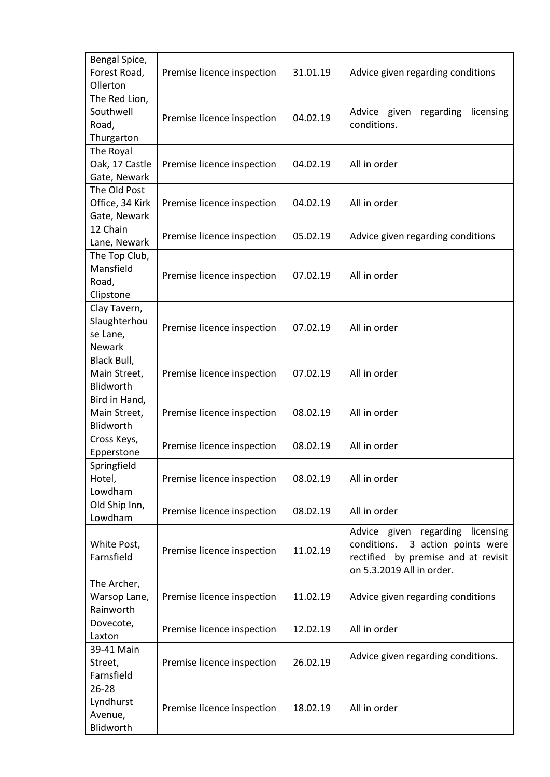| Bengal Spice,<br>Forest Road,<br>Ollerton          | Premise licence inspection | 31.01.19 | Advice given regarding conditions                                                                                                           |
|----------------------------------------------------|----------------------------|----------|---------------------------------------------------------------------------------------------------------------------------------------------|
| The Red Lion,<br>Southwell<br>Road,<br>Thurgarton  | Premise licence inspection | 04.02.19 | Advice given<br>regarding<br>licensing<br>conditions.                                                                                       |
| The Royal<br>Oak, 17 Castle<br>Gate, Newark        | Premise licence inspection | 04.02.19 | All in order                                                                                                                                |
| The Old Post<br>Office, 34 Kirk<br>Gate, Newark    | Premise licence inspection | 04.02.19 | All in order                                                                                                                                |
| 12 Chain<br>Lane, Newark                           | Premise licence inspection | 05.02.19 | Advice given regarding conditions                                                                                                           |
| The Top Club,<br>Mansfield<br>Road,<br>Clipstone   | Premise licence inspection | 07.02.19 | All in order                                                                                                                                |
| Clay Tavern,<br>Slaughterhou<br>se Lane,<br>Newark | Premise licence inspection | 07.02.19 | All in order                                                                                                                                |
| Black Bull,<br>Main Street,<br>Blidworth           | Premise licence inspection | 07.02.19 | All in order                                                                                                                                |
| Bird in Hand,<br>Main Street,<br>Blidworth         | Premise licence inspection | 08.02.19 | All in order                                                                                                                                |
| Cross Keys,<br>Epperstone                          | Premise licence inspection | 08.02.19 | All in order                                                                                                                                |
| Springfield<br>Hotel,<br>Lowdham                   | Premise licence inspection | 08.02.19 | All in order                                                                                                                                |
| Old Ship Inn,<br>Lowdham                           | Premise licence inspection | 08.02.19 | All in order                                                                                                                                |
| White Post,<br>Farnsfield                          | Premise licence inspection | 11.02.19 | Advice given regarding licensing<br>3 action points were<br>conditions.<br>rectified by premise and at revisit<br>on 5.3.2019 All in order. |
| The Archer,<br>Warsop Lane,<br>Rainworth           | Premise licence inspection | 11.02.19 | Advice given regarding conditions                                                                                                           |
| Dovecote,<br>Laxton                                | Premise licence inspection | 12.02.19 | All in order                                                                                                                                |
| 39-41 Main<br>Street,<br>Farnsfield                | Premise licence inspection | 26.02.19 | Advice given regarding conditions.                                                                                                          |
| $26 - 28$<br>Lyndhurst<br>Avenue,<br>Blidworth     | Premise licence inspection | 18.02.19 | All in order                                                                                                                                |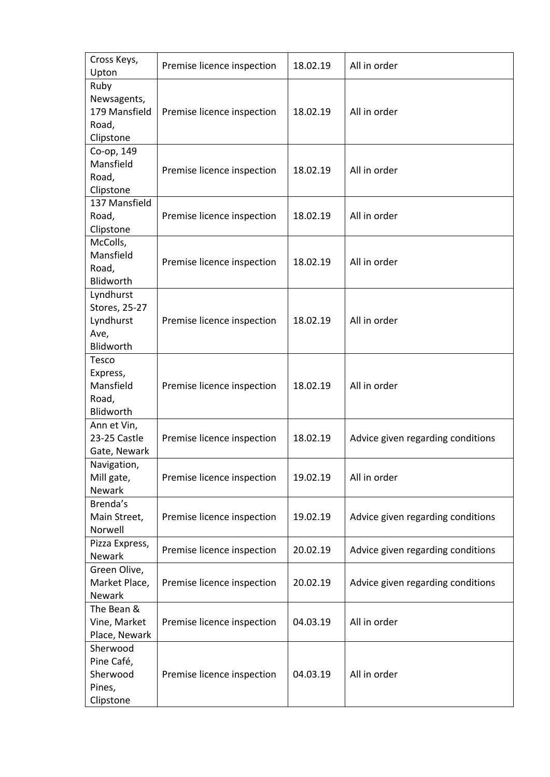| Cross Keys,<br>Upton                                         | Premise licence inspection | 18.02.19 | All in order                      |
|--------------------------------------------------------------|----------------------------|----------|-----------------------------------|
| Ruby<br>Newsagents,<br>179 Mansfield<br>Road,<br>Clipstone   | Premise licence inspection | 18.02.19 | All in order                      |
| Co-op, 149<br>Mansfield<br>Road,<br>Clipstone                | Premise licence inspection | 18.02.19 | All in order                      |
| 137 Mansfield<br>Road,<br>Clipstone                          | Premise licence inspection | 18.02.19 | All in order                      |
| McColls,<br>Mansfield<br>Road,<br><b>Blidworth</b>           | Premise licence inspection | 18.02.19 | All in order                      |
| Lyndhurst<br>Stores, 25-27<br>Lyndhurst<br>Ave,<br>Blidworth | Premise licence inspection | 18.02.19 | All in order                      |
| Tesco<br>Express,<br>Mansfield<br>Road,<br>Blidworth         | Premise licence inspection | 18.02.19 | All in order                      |
| Ann et Vin,<br>23-25 Castle<br>Gate, Newark                  | Premise licence inspection | 18.02.19 | Advice given regarding conditions |
| Navigation,<br>Mill gate,<br><b>Newark</b>                   | Premise licence inspection | 19.02.19 | All in order                      |
| Brenda's<br>Main Street,<br>Norwell                          | Premise licence inspection | 19.02.19 | Advice given regarding conditions |
| Pizza Express,<br><b>Newark</b>                              | Premise licence inspection | 20.02.19 | Advice given regarding conditions |
| Green Olive,<br>Market Place,<br><b>Newark</b>               | Premise licence inspection | 20.02.19 | Advice given regarding conditions |
| The Bean &<br>Vine, Market<br>Place, Newark                  | Premise licence inspection | 04.03.19 | All in order                      |
| Sherwood<br>Pine Café,<br>Sherwood<br>Pines,<br>Clipstone    | Premise licence inspection | 04.03.19 | All in order                      |